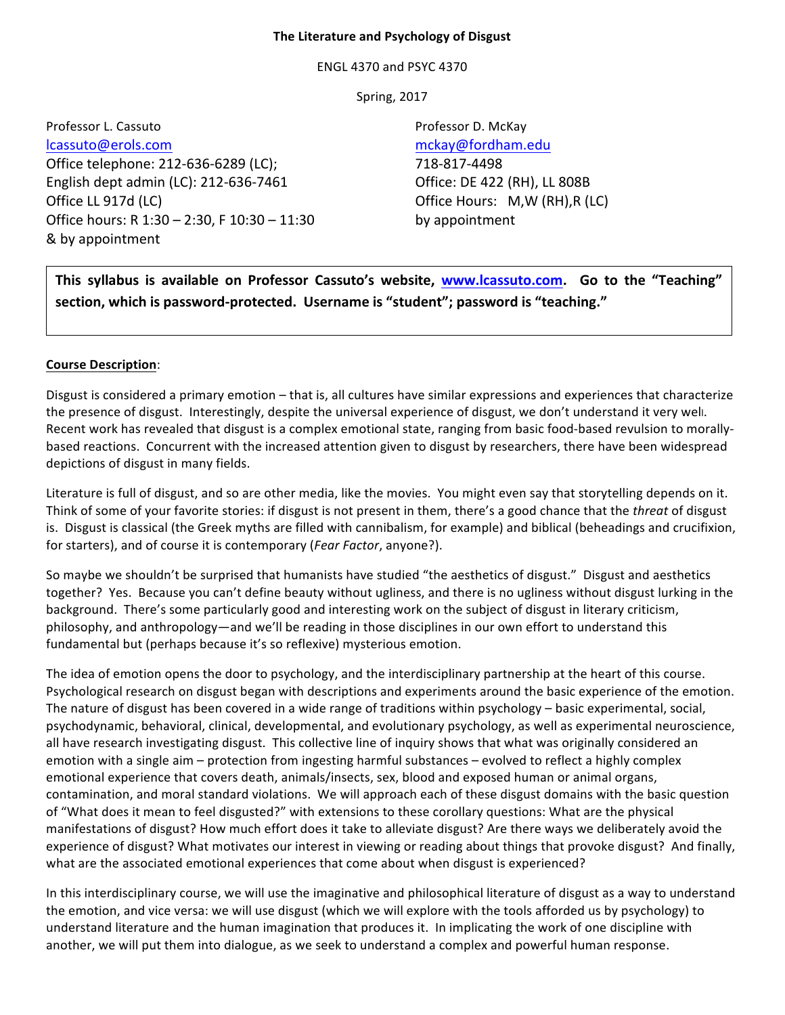#### **The Literature and Psychology of Disgust**

ENGL 4370 and PSYC 4370

**Spring, 2017** 

Professor L. Cassuto **Professor D. McKay** lcassuto@erols.com mckay@fordham.edu Office telephone: 212-636-6289 (LC); 718-817-4498 English dept admin (LC):  $212-636-7461$  Office: DE 422 (RH), LL 808B Office LL 917d (LC) **Office Hours:** M,W (RH),R (LC) Office hours:  $R$  1:30 – 2:30, F 10:30 – 11:30 by appointment & by appointment

This syllabus is available on Professor Cassuto's website, www.lcassuto.com. Go to the "Teaching" section, which is password-protected. Username is "student"; password is "teaching."

## **Course Description**:

Disgust is considered a primary emotion – that is, all cultures have similar expressions and experiences that characterize the presence of disgust. Interestingly, despite the universal experience of disgust, we don't understand it very well. Recent work has revealed that disgust is a complex emotional state, ranging from basic food-based revulsion to morallybased reactions. Concurrent with the increased attention given to disgust by researchers, there have been widespread depictions of disgust in many fields.

Literature is full of disgust, and so are other media, like the movies. You might even say that storytelling depends on it. Think of some of your favorite stories: if disgust is not present in them, there's a good chance that the *threat* of disgust is. Disgust is classical (the Greek myths are filled with cannibalism, for example) and biblical (beheadings and crucifixion, for starters), and of course it is contemporary (*Fear Factor*, anyone?).

So maybe we shouldn't be surprised that humanists have studied "the aesthetics of disgust." Disgust and aesthetics together? Yes. Because you can't define beauty without ugliness, and there is no ugliness without disgust lurking in the background. There's some particularly good and interesting work on the subject of disgust in literary criticism, philosophy, and anthropology—and we'll be reading in those disciplines in our own effort to understand this fundamental but (perhaps because it's so reflexive) mysterious emotion.

The idea of emotion opens the door to psychology, and the interdisciplinary partnership at the heart of this course. Psychological research on disgust began with descriptions and experiments around the basic experience of the emotion. The nature of disgust has been covered in a wide range of traditions within psychology – basic experimental, social, psychodynamic, behavioral, clinical, developmental, and evolutionary psychology, as well as experimental neuroscience, all have research investigating disgust. This collective line of inquiry shows that what was originally considered an emotion with a single aim – protection from ingesting harmful substances – evolved to reflect a highly complex emotional experience that covers death, animals/insects, sex, blood and exposed human or animal organs, contamination, and moral standard violations. We will approach each of these disgust domains with the basic question of "What does it mean to feel disgusted?" with extensions to these corollary questions: What are the physical manifestations of disgust? How much effort does it take to alleviate disgust? Are there ways we deliberately avoid the experience of disgust? What motivates our interest in viewing or reading about things that provoke disgust? And finally, what are the associated emotional experiences that come about when disgust is experienced?

In this interdisciplinary course, we will use the imaginative and philosophical literature of disgust as a way to understand the emotion, and vice versa: we will use disgust (which we will explore with the tools afforded us by psychology) to understand literature and the human imagination that produces it. In implicating the work of one discipline with another, we will put them into dialogue, as we seek to understand a complex and powerful human response.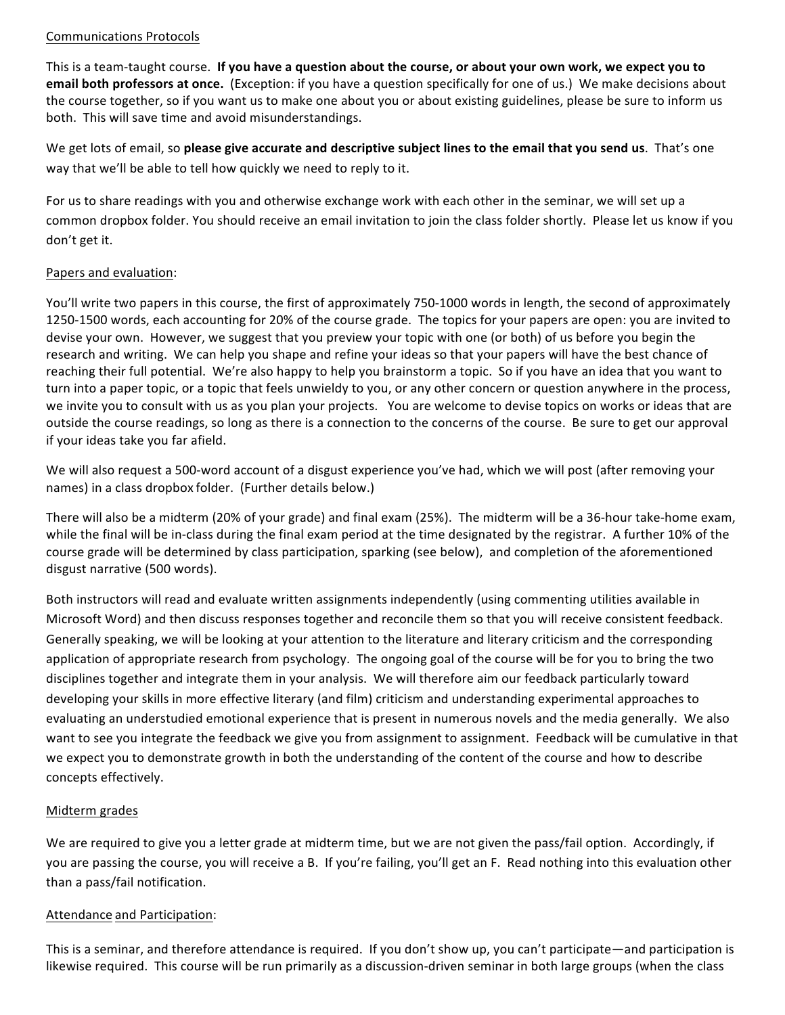## Communications Protocols

This is a team-taught course. If you have a question about the course, or about your own work, we expect you to **email both professors at once.** (Exception: if you have a question specifically for one of us.) We make decisions about the course together, so if you want us to make one about you or about existing guidelines, please be sure to inform us both. This will save time and avoid misunderstandings.

We get lots of email, so please give accurate and descriptive subject lines to the email that you send us. That's one way that we'll be able to tell how quickly we need to reply to it.

For us to share readings with you and otherwise exchange work with each other in the seminar, we will set up a common dropbox folder. You should receive an email invitation to join the class folder shortly. Please let us know if you don't get it.

# Papers and evaluation:

You'll write two papers in this course, the first of approximately 750-1000 words in length, the second of approximately 1250-1500 words, each accounting for 20% of the course grade. The topics for your papers are open: you are invited to devise your own. However, we suggest that you preview your topic with one (or both) of us before you begin the research and writing. We can help you shape and refine your ideas so that your papers will have the best chance of reaching their full potential. We're also happy to help you brainstorm a topic. So if you have an idea that you want to turn into a paper topic, or a topic that feels unwieldy to you, or any other concern or question anywhere in the process, we invite you to consult with us as you plan your projects. You are welcome to devise topics on works or ideas that are outside the course readings, so long as there is a connection to the concerns of the course. Be sure to get our approval if your ideas take you far afield.

We will also request a 500-word account of a disgust experience you've had, which we will post (after removing your names) in a class dropbox folder. (Further details below.)

There will also be a midterm (20% of your grade) and final exam (25%). The midterm will be a 36-hour take-home exam, while the final will be in-class during the final exam period at the time designated by the registrar. A further 10% of the course grade will be determined by class participation, sparking (see below), and completion of the aforementioned disgust narrative (500 words).

Both instructors will read and evaluate written assignments independently (using commenting utilities available in Microsoft Word) and then discuss responses together and reconcile them so that you will receive consistent feedback. Generally speaking, we will be looking at your attention to the literature and literary criticism and the corresponding application of appropriate research from psychology. The ongoing goal of the course will be for you to bring the two disciplines together and integrate them in your analysis. We will therefore aim our feedback particularly toward developing your skills in more effective literary (and film) criticism and understanding experimental approaches to evaluating an understudied emotional experience that is present in numerous novels and the media generally. We also want to see you integrate the feedback we give you from assignment to assignment. Feedback will be cumulative in that we expect you to demonstrate growth in both the understanding of the content of the course and how to describe concepts effectively.

# Midterm grades

We are required to give you a letter grade at midterm time, but we are not given the pass/fail option. Accordingly, if you are passing the course, you will receive a B. If you're failing, you'll get an F. Read nothing into this evaluation other than a pass/fail notification.

## Attendance and Participation:

This is a seminar, and therefore attendance is required. If you don't show up, you can't participate—and participation is likewise required. This course will be run primarily as a discussion-driven seminar in both large groups (when the class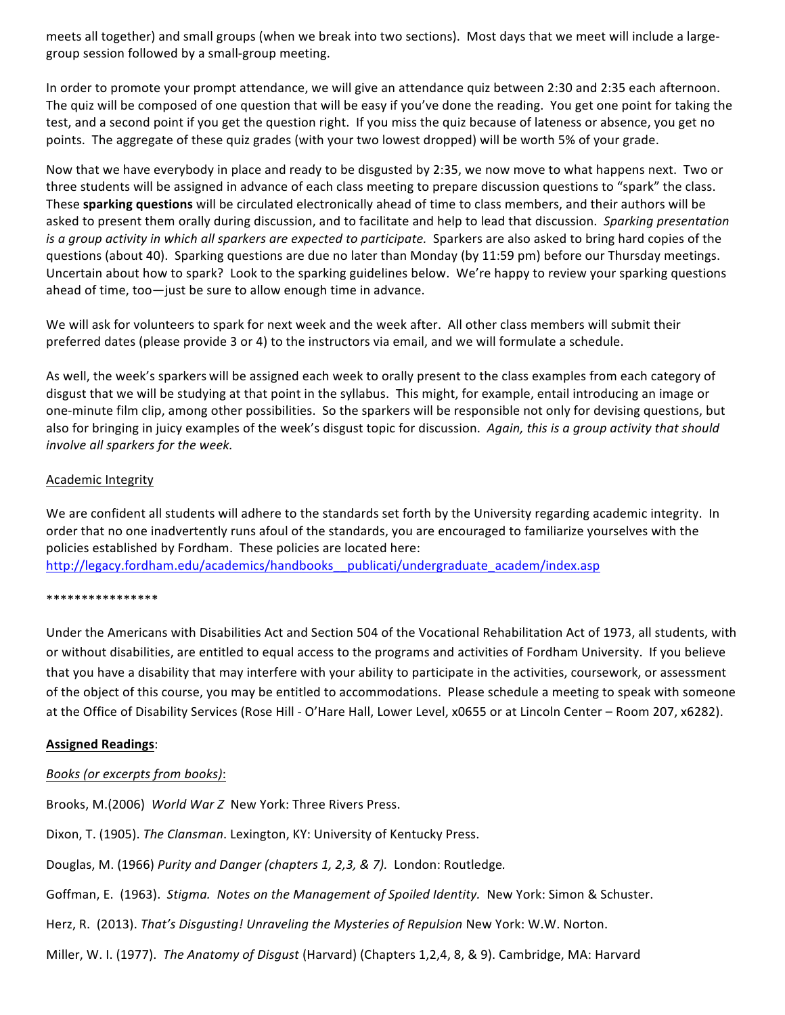meets all together) and small groups (when we break into two sections). Most days that we meet will include a largegroup session followed by a small-group meeting.

In order to promote your prompt attendance, we will give an attendance quiz between 2:30 and 2:35 each afternoon. The quiz will be composed of one question that will be easy if you've done the reading. You get one point for taking the test, and a second point if you get the question right. If you miss the quiz because of lateness or absence, you get no points. The aggregate of these quiz grades (with your two lowest dropped) will be worth 5% of your grade.

Now that we have everybody in place and ready to be disgusted by 2:35, we now move to what happens next. Two or three students will be assigned in advance of each class meeting to prepare discussion questions to "spark" the class. These **sparking questions** will be circulated electronically ahead of time to class members, and their authors will be asked to present them orally during discussion, and to facilitate and help to lead that discussion. Sparking presentation *is a group activity in which all sparkers are expected to participate.* Sparkers are also asked to bring hard copies of the questions (about 40). Sparking questions are due no later than Monday (by 11:59 pm) before our Thursday meetings. Uncertain about how to spark? Look to the sparking guidelines below. We're happy to review your sparking questions ahead of time, too $-$ just be sure to allow enough time in advance.

We will ask for volunteers to spark for next week and the week after. All other class members will submit their preferred dates (please provide 3 or 4) to the instructors via email, and we will formulate a schedule.

As well, the week's sparkers will be assigned each week to orally present to the class examples from each category of disgust that we will be studying at that point in the syllabus. This might, for example, entail introducing an image or one-minute film clip, among other possibilities. So the sparkers will be responsible not only for devising questions, but also for bringing in juicy examples of the week's disgust topic for discussion. Again, this is a group activity that should *involve all sparkers for the week.* 

#### Academic Integrity

We are confident all students will adhere to the standards set forth by the University regarding academic integrity. In order that no one inadvertently runs afoul of the standards, you are encouraged to familiarize yourselves with the policies established by Fordham. These policies are located here: http://legacy.fordham.edu/academics/handbooks\_\_publicati/undergraduate\_academ/index.asp

#### \*\*\*\*\*\*\*\*\*\*\*\*\*\*\*\*

Under the Americans with Disabilities Act and Section 504 of the Vocational Rehabilitation Act of 1973, all students, with or without disabilities, are entitled to equal access to the programs and activities of Fordham University. If you believe that you have a disability that may interfere with your ability to participate in the activities, coursework, or assessment of the object of this course, you may be entitled to accommodations. Please schedule a meeting to speak with someone at the Office of Disability Services (Rose Hill - O'Hare Hall, Lower Level, x0655 or at Lincoln Center - Room 207, x6282).

## **Assigned Readings**:

## *Books (or excerpts from books)*:

Brooks, M.(2006) World War Z New York: Three Rivers Press.

Dixon, T. (1905). The Clansman. Lexington, KY: University of Kentucky Press.

Douglas, M. (1966) *Purity and Danger (chapters 1, 2,3, & 7).* London: Routledge.

Goffman, E. (1963). Stigma. Notes on the Management of Spoiled Identity. New York: Simon & Schuster.

Herz, R. (2013). *That's Disgusting! Unraveling the Mysteries of Repulsion New York: W.W. Norton.* 

Miller, W. I. (1977). The Anatomy of Disgust (Harvard) (Chapters 1,2,4, 8, & 9). Cambridge, MA: Harvard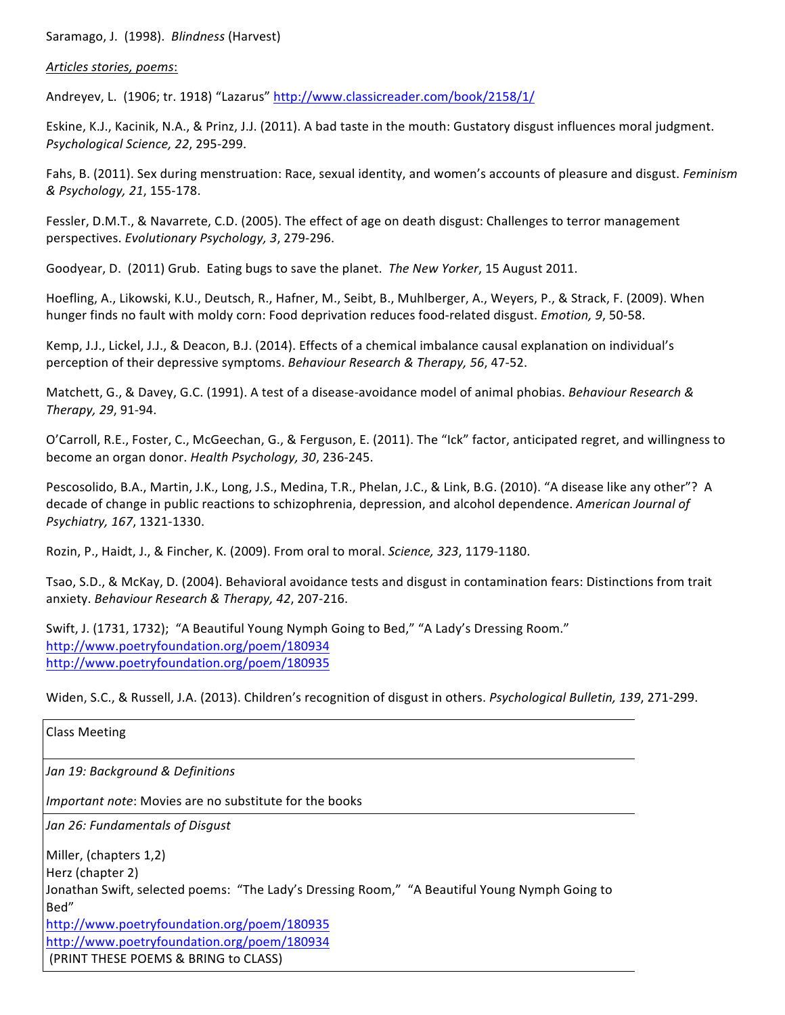Saramago, J. (1998). *Blindness* (Harvest)

#### *Articles stories, poems*:

Andreyev, L. (1906; tr. 1918) "Lazarus" http://www.classicreader.com/book/2158/1/

Eskine, K.J., Kacinik, N.A., & Prinz, J.J. (2011). A bad taste in the mouth: Gustatory disgust influences moral judgment. *Psychological Science, 22*, 295-299.

Fahs, B. (2011). Sex during menstruation: Race, sexual identity, and women's accounts of pleasure and disgust. *Feminism & Psychology, 21*, 155-178.

Fessler, D.M.T., & Navarrete, C.D. (2005). The effect of age on death disgust: Challenges to terror management perspectives. *Evolutionary Psychology, 3, 279-296.* 

Goodyear, D. (2011) Grub. Eating bugs to save the planet. The New Yorker, 15 August 2011.

Hoefling, A., Likowski, K.U., Deutsch, R., Hafner, M., Seibt, B., Muhlberger, A., Weyers, P., & Strack, F. (2009). When hunger finds no fault with moldy corn: Food deprivation reduces food-related disgust. *Emotion, 9*, 50-58.

Kemp, J.J., Lickel, J.J., & Deacon, B.J. (2014). Effects of a chemical imbalance causal explanation on individual's perception of their depressive symptoms. *Behaviour Research & Therapy, 56, 47-52.* 

Matchett, G., & Davey, G.C. (1991). A test of a disease-avoidance model of animal phobias. *Behaviour Research & Therapy, 29*, 91-94.

O'Carroll, R.E., Foster, C., McGeechan, G., & Ferguson, E. (2011). The "Ick" factor, anticipated regret, and willingness to become an organ donor. *Health Psychology, 30, 236-245.* 

Pescosolido, B.A., Martin, J.K., Long, J.S., Medina, T.R., Phelan, J.C., & Link, B.G. (2010). "A disease like any other"? A decade of change in public reactions to schizophrenia, depression, and alcohol dependence. *American Journal of Psychiatry, 167*, 1321-1330.

Rozin, P., Haidt, J., & Fincher, K. (2009). From oral to moral. *Science, 323*, 1179-1180.

Tsao, S.D., & McKay, D. (2004). Behavioral avoidance tests and disgust in contamination fears: Distinctions from trait anxiety. Behaviour Research & Therapy, 42, 207-216.

Swift, J. (1731, 1732); "A Beautiful Young Nymph Going to Bed," "A Lady's Dressing Room." http://www.poetryfoundation.org/poem/180934 http://www.poetryfoundation.org/poem/180935

Widen, S.C., & Russell, J.A. (2013). Children's recognition of disgust in others. Psychological Bulletin, 139, 271-299.

| <b>Class Meeting</b>                                                                          |
|-----------------------------------------------------------------------------------------------|
| Jan 19: Background & Definitions                                                              |
| <i>Important note:</i> Movies are no substitute for the books                                 |
| Jan 26: Fundamentals of Disgust                                                               |
| Miller, (chapters 1,2)                                                                        |
| Herz (chapter 2)                                                                              |
| Jonathan Swift, selected poems: "The Lady's Dressing Room," "A Beautiful Young Nymph Going to |
| Bed"                                                                                          |
| http://www.poetryfoundation.org/poem/180935                                                   |
| http://www.poetryfoundation.org/poem/180934                                                   |
| (PRINT THESE POEMS & BRING to CLASS)                                                          |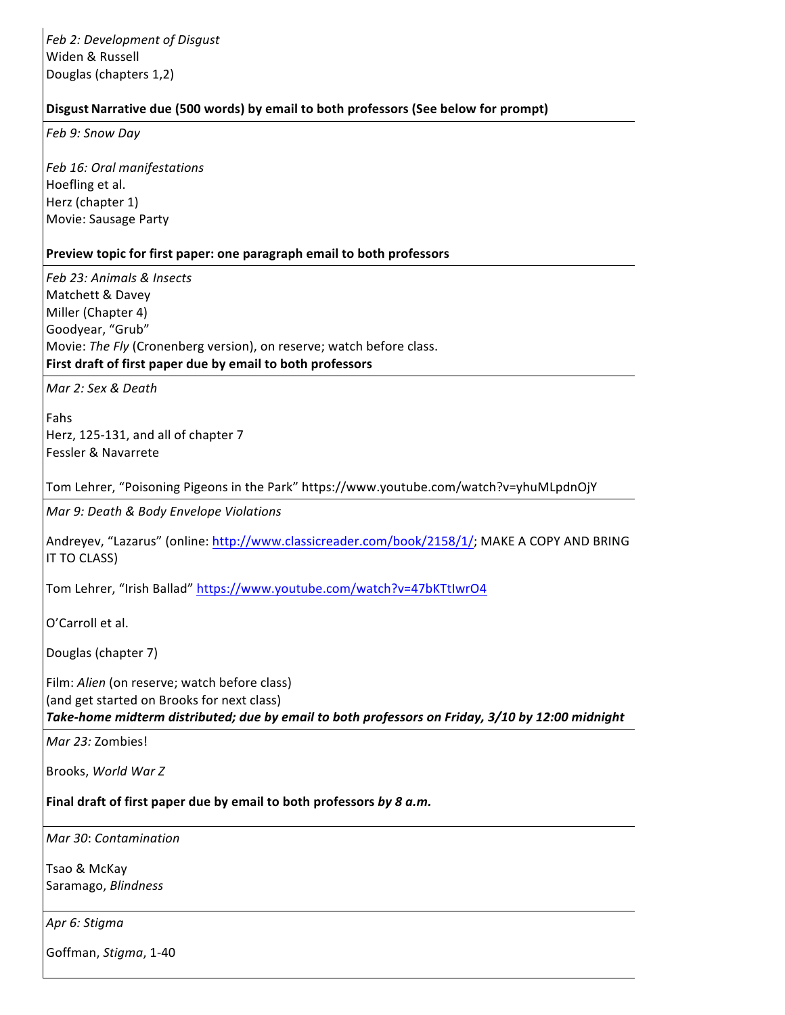*Feb 2: Development of Disgust* Widen & Russell Douglas (chapters 1,2)

## **Disgust Narrative due (500 words) by email to both professors (See below for prompt)**

*Feb 9: Snow Day*

*Feb 16: Oral manifestations* Hoefling et al. Herz (chapter 1) Movie: Sausage Party

#### Preview topic for first paper: one paragraph email to both professors

*Feb 23: Animals & Insects* Matchett & Davey Miller (Chapter 4) Goodyear, "Grub" Movie: The Fly (Cronenberg version), on reserve; watch before class. First draft of first paper due by email to both professors

*Mar 2: Sex & Death*

Fahs Herz, 125-131, and all of chapter 7 Fessler & Navarrete

Tom Lehrer, "Poisoning Pigeons in the Park" https://www.youtube.com/watch?v=yhuMLpdnOjY

*Mar 9: Death & Body Envelope Violations*

Andreyev, "Lazarus" (online: http://www.classicreader.com/book/2158/1/; MAKE A COPY AND BRING IT TO CLASS)

Tom Lehrer, "Irish Ballad" https://www.youtube.com/watch?v=47bKTtIwrO4

O'Carroll et al.

Douglas (chapter 7)

Film: Alien (on reserve; watch before class) (and get started on Brooks for next class)

Take-home midterm distributed; due by email to both professors on Friday, 3/10 by 12:00 midnight

*Mar 23:* Zombies!

Brooks, *World War Z*

Final draft of first paper due by email to both professors by 8 a.m.

*Mar 30*: *Contamination*

Tsao & McKay Saramago, *Blindness*

*Apr 6: Stigma*

Goffman, *Stigma*, 1-40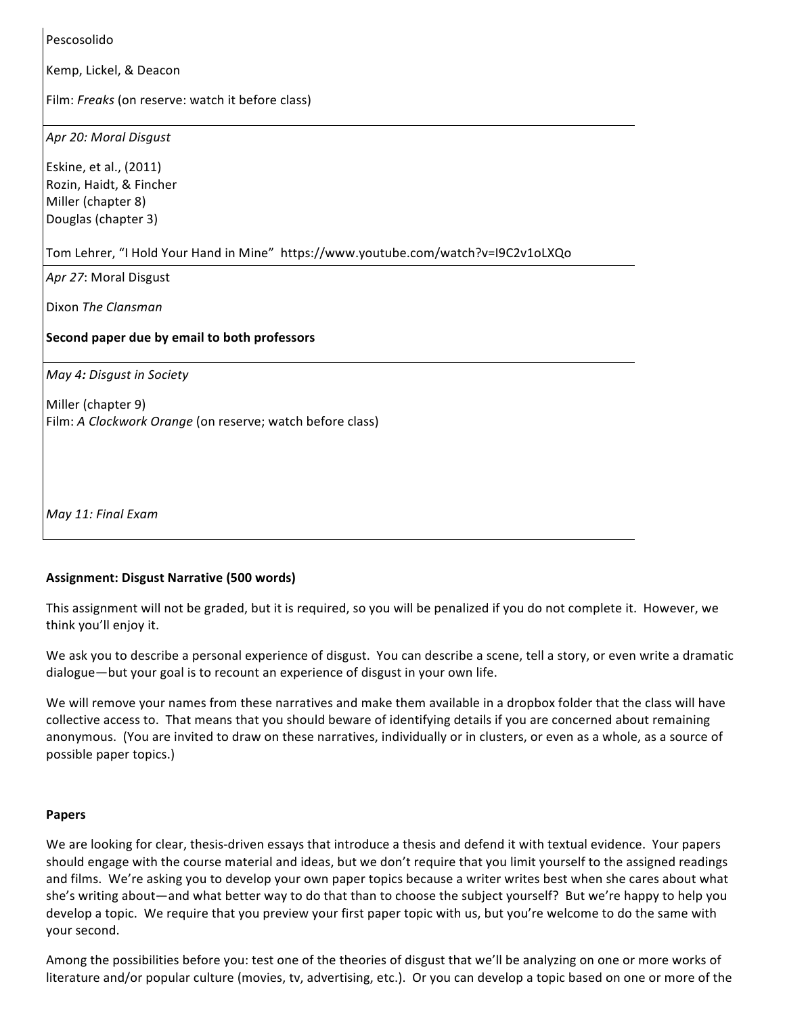Pescosolido

Kemp, Lickel, & Deacon

Film: Freaks (on reserve: watch it before class)

*Apr 20: Moral Disgust*

Eskine, et al., (2011) Rozin, Haidt, & Fincher Miller (chapter 8) Douglas (chapter 3)

Tom Lehrer, "I Hold Your Hand in Mine" https://www.youtube.com/watch?v=I9C2v1oLXQo

*Apr 27*: Moral Disgust

Dixon *The Clansman*

#### **Second paper due by email to both professors**

*May 4: Disgust in Society*

Miller (chapter 9) Film: A Clockwork Orange (on reserve; watch before class)

*May 11: Final Exam*

## **Assignment: Disgust Narrative (500 words)**

This assignment will not be graded, but it is required, so you will be penalized if you do not complete it. However, we think you'll enjoy it.

We ask you to describe a personal experience of disgust. You can describe a scene, tell a story, or even write a dramatic dialogue—but your goal is to recount an experience of disgust in your own life.

We will remove your names from these narratives and make them available in a dropbox folder that the class will have collective access to. That means that you should beware of identifying details if you are concerned about remaining anonymous. (You are invited to draw on these narratives, individually or in clusters, or even as a whole, as a source of possible paper topics.)

#### **Papers**

We are looking for clear, thesis-driven essays that introduce a thesis and defend it with textual evidence. Your papers should engage with the course material and ideas, but we don't require that you limit yourself to the assigned readings and films. We're asking you to develop your own paper topics because a writer writes best when she cares about what she's writing about—and what better way to do that than to choose the subject yourself? But we're happy to help you develop a topic. We require that you preview your first paper topic with us, but you're welcome to do the same with your second.

Among the possibilities before you: test one of the theories of disgust that we'll be analyzing on one or more works of literature and/or popular culture (movies, tv, advertising, etc.). Or you can develop a topic based on one or more of the